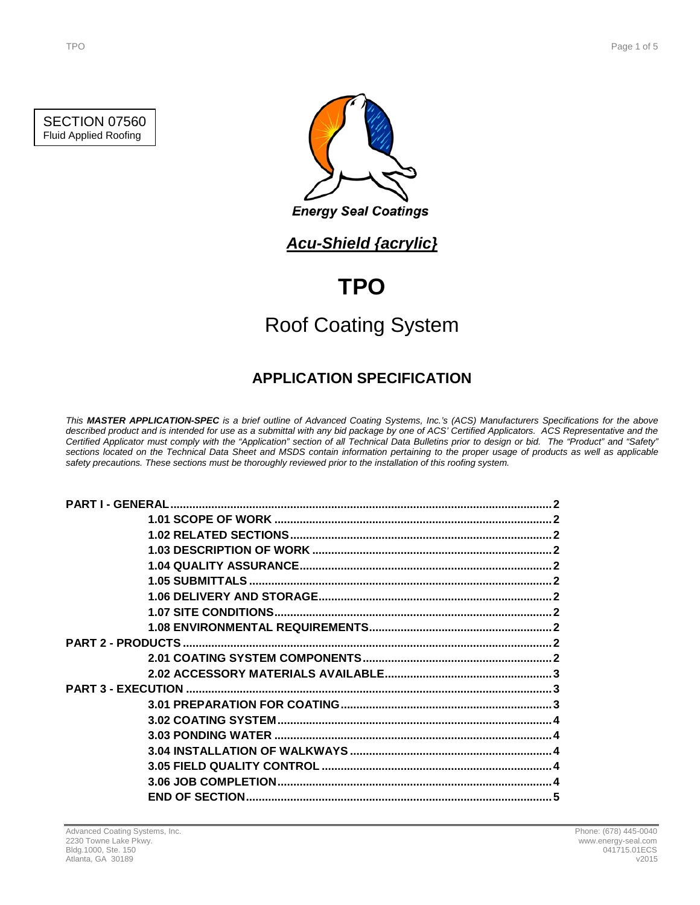

SECTION 07560 Fluid Applied Roofing



**Energy Seal Coatings** 

## *Acu-Shield {acrylic}*

# **TPO**

# Roof Coating System

## **APPLICATION SPECIFICATION**

*This MASTER APPLICATION-SPEC is a brief outline of Advanced Coating Systems, Inc.'s (ACS) Manufacturers Specifications for the above described product and is intended for use as a submittal with any bid package by one of ACS' Certified Applicators. ACS Representative and the Certified Applicator must comply with the "Application" section of all Technical Data Bulletins prior to design or bid. The "Product" and "Safety" sections located on the Technical Data Sheet and MSDS contain information pertaining to the proper usage of products as well as applicable safety precautions. These sections must be thoroughly reviewed prior to the installation of this roofing system.*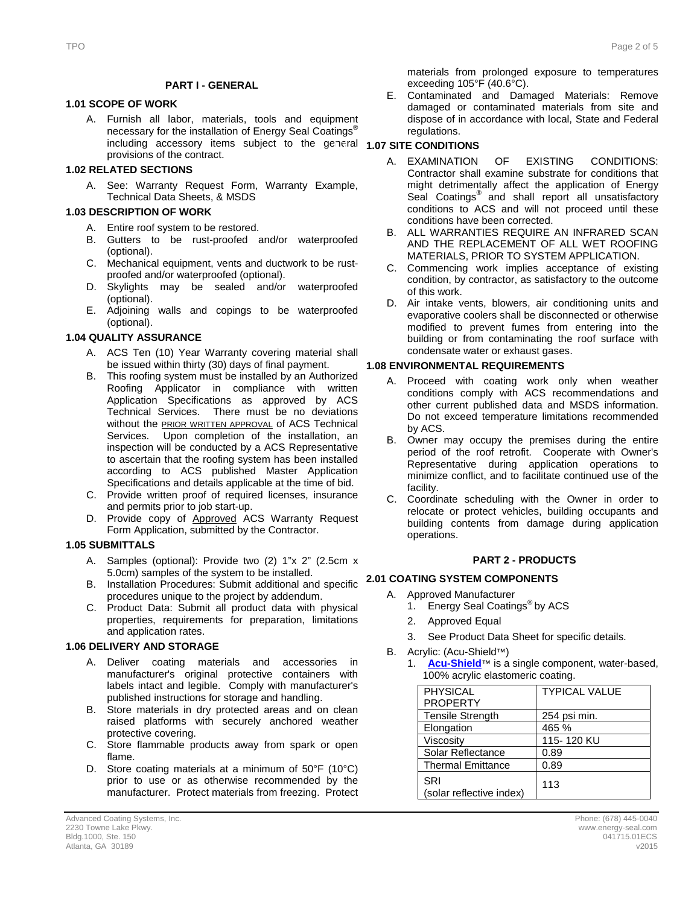#### **PART I - GENERAL**

### **1.1 1.01 SCOPE OF WORK**

A. Furnish all labor, materials, tools and equipment necessary for the installation of Energy Seal Coatings<sup>®</sup> including accessory items subject to the general **1.07 SITE CONDITIONS** provisions of the contract.

#### **1.2 1.02 RELATED SECTIONS**

A. See: Warranty Request Form, Warranty Example, Technical Data Sheets, & MSDS

#### **1.3 1.03 DESCRIPTION OF WORK**

- A. Entire roof system to be restored.
- B. Gutters to be rust-proofed and/or waterproofed (optional).
- C. Mechanical equipment, vents and ductwork to be rustproofed and/or waterproofed (optional).
- D. Skylights may be sealed and/or waterproofed (optional).
- E. Adjoining walls and copings to be waterproofed (optional).

#### **1.4 1.04 QUALITY ASSURANCE**

- A. ACS Ten (10) Year Warranty covering material shall be issued within thirty (30) days of final payment.
- B. This roofing system must be installed by an Authorized Roofing Applicator in compliance with written Application Specifications as approved by ACS Technical Services. There must be no deviations without the **PRIOR WRITTEN APPROVAL** of ACS Technical Services. Upon completion of the installation, an inspection will be conducted by a ACS Representative to ascertain that the roofing system has been installed according to ACS published Master Application Specifications and details applicable at the time of bid.
- C. Provide written proof of required licenses, insurance and permits prior to job start-up.
- D. Provide copy of Approved ACS Warranty Request Form Application, submitted by the Contractor.

#### **1.5 1.05 SUBMITTALS**

- A. Samples (optional): Provide two (2) 1"x 2" (2.5cm x 5.0cm) samples of the system to be installed.
- B. Installation Procedures: Submit additional and specific **2.1 2.01 COATING SYSTEM COMPONENTS** procedures unique to the project by addendum.
- C. Product Data: Submit all product data with physical properties, requirements for preparation, limitations and application rates.

#### **1.6 1.06 DELIVERY AND STORAGE**

- A. Deliver coating materials and accessories in manufacturer's original protective containers with labels intact and legible. Comply with manufacturer's published instructions for storage and handling.
- B. Store materials in dry protected areas and on clean raised platforms with securely anchored weather protective covering.
- C. Store flammable products away from spark or open flame.
- D. Store coating materials at a minimum of 50°F (10°C) prior to use or as otherwise recommended by the manufacturer. Protect materials from freezing. Protect

materials from prolonged exposure to temperatures exceeding 105°F (40.6°C).

E. Contaminated and Damaged Materials: Remove damaged or contaminated materials from site and dispose of in accordance with local, State and Federal regulations.

- A. EXAMINATION OF EXISTING CONDITIONS: Contractor shall examine substrate for conditions that might detrimentally affect the application of Energy Seal Coatings<sup>®</sup> and shall report all unsatisfactory conditions to ACS and will not proceed until these conditions have been corrected.
- B. ALL WARRANTIES REQUIRE AN INFRARED SCAN AND THE REPLACEMENT OF ALL WET ROOFING MATERIALS, PRIOR TO SYSTEM APPLICATION.
- C. Commencing work implies acceptance of existing condition, by contractor, as satisfactory to the outcome of this work.
- D. Air intake vents, blowers, air conditioning units and evaporative coolers shall be disconnected or otherwise modified to prevent fumes from entering into the building or from contaminating the roof surface with condensate water or exhaust gases.

#### **1.8 1.08 ENVIRONMENTAL REQUIREMENTS**

- A. Proceed with coating work only when weather conditions comply with ACS recommendations and other current published data and MSDS information. Do not exceed temperature limitations recommended by ACS.
- B. Owner may occupy the premises during the entire period of the roof retrofit. Cooperate with Owner's Representative during application operations to minimize conflict, and to facilitate continued use of the facility.
- C. Coordinate scheduling with the Owner in order to relocate or protect vehicles, building occupants and building contents from damage during application operations.

#### **2 PART 2 - PRODUCTS**

- A. Approved Manufacturer
	- 1. Energy Seal Coatings<sup>®</sup> by ACS
	- 2. Approved Equal
	- 3. See Product Data Sheet for specific details.
- B. Acrylic: (Acu-Shield™)
	- 1. **[Acu-Shield](http://www.energy-seal.com/UserDyn/ACS/pdfs/acu-shield.pdf)**™ is a single component, water-based, 100% acrylic elastomeric coating.

| <b>PHYSICAL</b>                 | <b>TYPICAL VALUE</b> |
|---------------------------------|----------------------|
| <b>PROPERTY</b>                 |                      |
| <b>Tensile Strength</b>         | 254 psi min.         |
| Elongation                      | 465 %                |
| Viscosity                       | 115-120 KU           |
| Solar Reflectance               | 0.89                 |
| <b>Thermal Emittance</b>        | 0.89                 |
| SRI<br>(solar reflective index) | 113                  |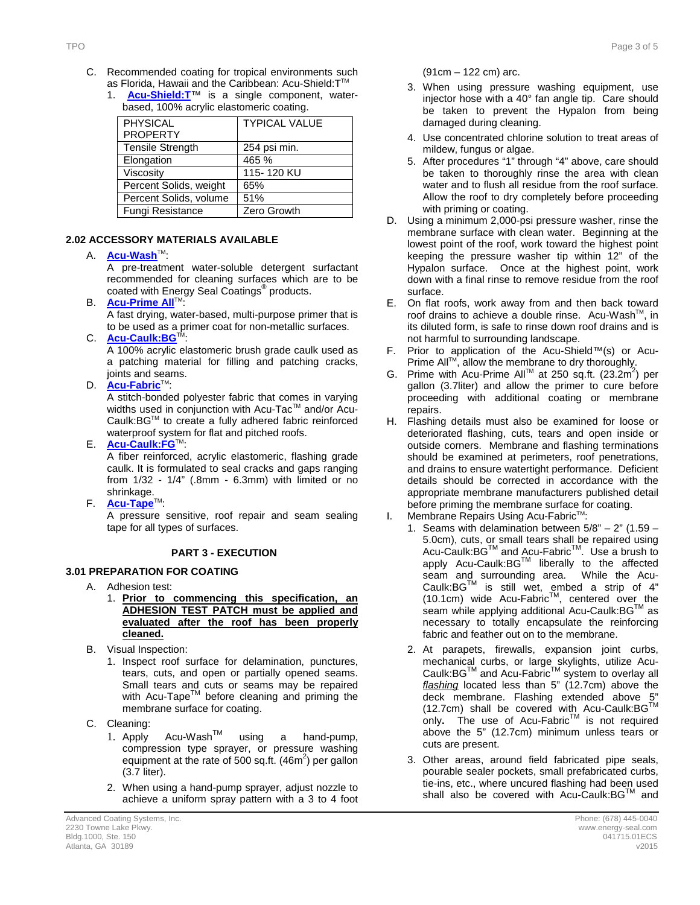- C. Recommended coating for tropical environments such as Florida, Hawaii and the Caribbean: Acu-Shield: T™
	- 1. **[Acu-Shield:T](http://www.energy-seal.com/UserDyn/ACS/pdfs/acu-shield-t.pdf)**™ is a single component, waterbased, 100% acrylic elastomeric coating.

| <b>PHYSICAL</b>         | <b>TYPICAL VALUE</b> |
|-------------------------|----------------------|
| <b>PROPERTY</b>         |                      |
| <b>Tensile Strength</b> | 254 psi min.         |
| Elongation              | 465 %                |
| Viscosity               | 115-120 KU           |
| Percent Solids, weight  | 65%                  |
| Percent Solids, volume  | 51%                  |
| Fungi Resistance        | Zero Growth          |

#### **2.2 2.02 ACCESSORY MATERIALS AVAILABLE**

#### A. **[Acu-Wash](http://www.energy-seal.com/UserDyn/ACS/pdfs/acu-wash.pdf)™:**

A pre-treatment water-soluble detergent surfactant recommended for cleaning surfaces which are to be coated with Energy Seal Coatings® products.

**B. [Acu-Prime](http://www.energy-seal.com/UserDyn/ACS/pdfs/acu-prime%20all.pdf) All**™:

A fast drying, water-based, multi-purpose primer that is to be used as a primer coat for non-metallic surfaces.

C. **[Acu-Caulk:BG](http://www.energy-seal.com/UserDyn/ACS/pdfs/acu-caulk_bg.pdf)** 

A 100% acrylic elastomeric brush grade caulk used as a patching material for filling and patching cracks, joints and seams.

D. **[Acu-Fabric](http://www.energy-seal.com/UserDyn/ACS/pdfs/acu-fabric-sb.pdf)™**:

A stitch-bonded polyester fabric that comes in varying widths used in conjunction with Acu-Tac™ and/or Acu-Caulk:BGTM to create a fully adhered fabric reinforced waterproof system for flat and pitched roofs.

E. **[Acu-Caulk:FG](http://www.energy-seal.com/UserDyn/ACS/pdfs/acu-caulk_fg.pdf)**TM:

A fiber reinforced, acrylic elastomeric, flashing grade caulk. It is formulated to seal cracks and gaps ranging from 1/32 - 1/4" (.8mm - 6.3mm) with limited or no shrinkage.

F. **[Acu-Tape](http://www.energy-seal.com/UserDyn/ACS/pdfs/acu-tape.pdf)**TM:

A pressure sensitive, roof repair and seam sealing tape for all types of surfaces.

### **3 PART 3 - EXECUTION**

### **3.1 3.01 PREPARATION FOR COATING**

- A. Adhesion test:
	- 1. **Prior to commencing this specification, an ADHESION TEST PATCH must be applied and evaluated after the roof has been properly cleaned.**
- B. Visual Inspection:
	- 1. Inspect roof surface for delamination, punctures, tears, cuts, and open or partially opened seams. Small tears and cuts or seams may be repaired with Acu-Tape<sup>TM</sup> before cleaning and priming the membrane surface for coating.
- C. Cleaning:
	- 1. Apply Acu-WashTM using a hand-pump, compression type sprayer, or pressure washing equipment at the rate of 500 sq.ft.  $(46m^2)$  per gallon (3.7 liter).
	- 2. When using a hand-pump sprayer, adjust nozzle to achieve a uniform spray pattern with a 3 to 4 foot

(91cm – 122 cm) arc.

- 3. When using pressure washing equipment, use injector hose with a 40° fan angle tip. Care should be taken to prevent the Hypalon from being damaged during cleaning.
- 4. Use concentrated chlorine solution to treat areas of mildew, fungus or algae.
- 5. After procedures "1" through "4" above, care should be taken to thoroughly rinse the area with clean water and to flush all residue from the roof surface. Allow the roof to dry completely before proceeding with priming or coating.
- D. Using a minimum 2,000-psi pressure washer, rinse the membrane surface with clean water. Beginning at the lowest point of the roof, work toward the highest point keeping the pressure washer tip within 12" of the Hypalon surface. Once at the highest point, work down with a final rinse to remove residue from the roof surface.
- E. On flat roofs, work away from and then back toward roof drains to achieve a double rinse. Acu-Wash™, in its diluted form, is safe to rinse down roof drains and is not harmful to surrounding landscape.
- F. Prior to application of the Acu-Shield™(s) or Acu-Prime All™, allow the membrane to dry thoroughly.
- G. Prime with Acu-Prime All™ at 250 sq.ft. (23.2m<sup>2</sup>) per gallon (3.7liter) and allow the primer to cure before proceeding with additional coating or membrane repairs.
- H. Flashing details must also be examined for loose or deteriorated flashing, cuts, tears and open inside or outside corners. Membrane and flashing terminations should be examined at perimeters, roof penetrations, and drains to ensure watertight performance. Deficient details should be corrected in accordance with the appropriate membrane manufacturers published detail before priming the membrane surface for coating.
- I. Membrane Repairs Using Acu-Fabric<sup>™</sup>:
	- 1. Seams with delamination between  $5/8" 2"$  (1.59 5.0cm), cuts, or small tears shall be repaired using Acu-Caulk:BG™ and Acu-Fabric<sup>™</sup>. Use a brush to apply Acu-Caulk:BGTM liberally to the affected seam and surrounding area. While the Acu-Caulk:BG $^{TM}$  is still wet, embed a strip of 4"  $(10.1cm)$  wide Acu-Fabric<sup>TM</sup>, centered over the seam while applying additional Acu-Caulk: BG™ as necessary to totally encapsulate the reinforcing fabric and feather out on to the membrane.
	- 2. At parapets, firewalls, expansion joint curbs, mechanical curbs, or large skylights, utilize Acu-Caulk:BG™ and Acu-Fabric™ system to overlay all *flashing* located less than 5" (12.7cm) above the deck membrane. Flashing extended above 5 (12.7cm) shall be covered with Acu-Caulk:BG™ only. The use of Acu-Fabric<sup>TM</sup> is not required above the 5" (12.7cm) minimum unless tears or cuts are present.
	- 3. Other areas, around field fabricated pipe seals, pourable sealer pockets, small prefabricated curbs, tie-ins, etc., where uncured flashing had been used shall also be covered with Acu-Caulk:BG™ and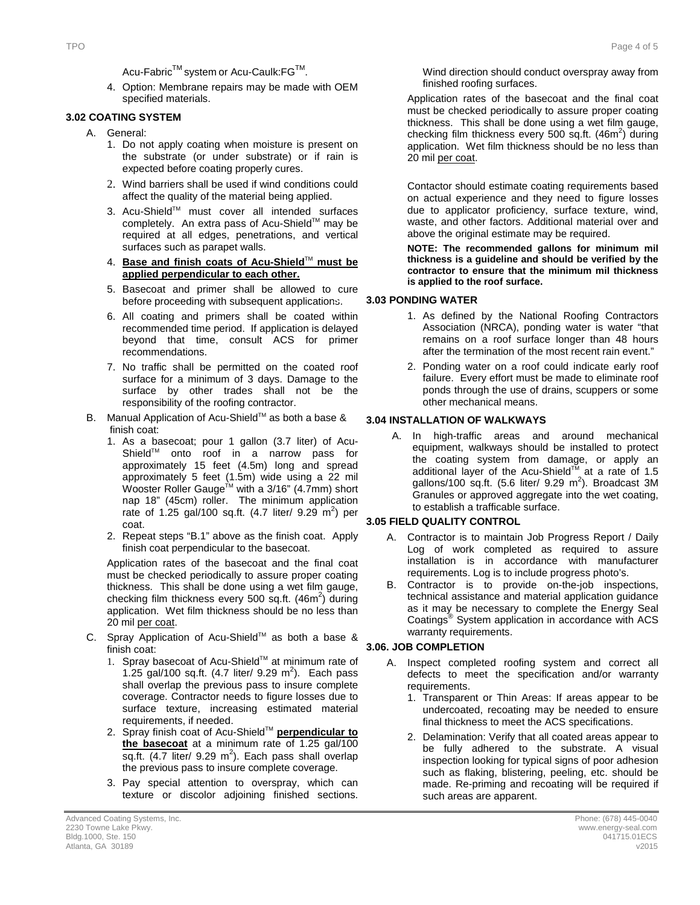Acu-Fabric<sup>™</sup> system or Acu-Caulk:FG<sup>™</sup>.

4. Option: Membrane repairs may be made with OEM specified materials.

#### **3.2 3.02 COATING SYSTEM**

- A. General:
	- 1. Do not apply coating when moisture is present on the substrate (or under substrate) or if rain is expected before coating properly cures.
	- 2. Wind barriers shall be used if wind conditions could affect the quality of the material being applied.
	- 3. Acu-Shield™ must cover all intended surfaces completely. An extra pass of Acu-Shield™ may be required at all edges, penetrations, and vertical surfaces such as parapet walls.
	- 4. **Base and finish coats of Acu-Shield**TM **must be applied perpendicular to each other.**
	- 5. Basecoat and primer shall be allowed to cure before proceeding with subsequent applications.
	- 6. All coating and primers shall be coated within recommended time period. If application is delayed beyond that time, consult ACS for primer recommendations.
	- 7. No traffic shall be permitted on the coated roof surface for a minimum of 3 days. Damage to the surface by other trades shall not be the responsibility of the roofing contractor.
- B. Manual Application of Acu-Shield™ as both a base & finish coat:
	- 1. As a basecoat; pour 1 gallon (3.7 liter) of Acu-Shield™ onto roof in a narrow pass for approximately 15 feet (4.5m) long and spread approximately 5 feet (1.5m) wide using a 22 mil Wooster Roller Gauge<sup>™</sup> with a 3/16" (4.7mm) short nap 18" (45cm) roller. The minimum application rate of 1.25 gal/100 sq.ft.  $(4.7 \text{ liter/ } 9.29 \text{ m}^2)$  per coat.
	- 2. Repeat steps "B.1" above as the finish coat. Apply finish coat perpendicular to the basecoat.

Application rates of the basecoat and the final coat must be checked periodically to assure proper coating thickness. This shall be done using a wet film gauge, checking film thickness every 500 sq.ft.  $(46m^2)$  during application. Wet film thickness should be no less than 20 mil per coat.

- C. Spray Application of Acu-Shield™ as both a base & finish coat:
	- 1. Spray basecoat of Acu-Shield™ at minimum rate of 1.25 gal/100 sq.ft.  $(4.7 \text{ liter/ } 9.29 \text{ m}^2)$ . Each pass shall overlap the previous pass to insure complete coverage. Contractor needs to figure losses due to surface texture, increasing estimated material requirements, if needed.
	- 2. Spray finish coat of Acu-Shield™ **perpendicular to the basecoat** at a minimum rate of 1.25 gal/100 sq.ft.  $(4.7$  liter/ 9.29 m<sup>2</sup>). Each pass shall overlap the previous pass to insure complete coverage.
	- 3. Pay special attention to overspray, which can texture or discolor adjoining finished sections.

Wind direction should conduct overspray away from finished roofing surfaces.

Application rates of the basecoat and the final coat must be checked periodically to assure proper coating thickness. This shall be done using a wet film gauge, checking film thickness every 500 sq.ft.  $(46m^2)$  during application. Wet film thickness should be no less than 20 mil per coat.

Contactor should estimate coating requirements based on actual experience and they need to figure losses due to applicator proficiency, surface texture, wind, waste, and other factors. Additional material over and above the original estimate may be required.

**NOTE: The recommended gallons for minimum mil thickness is a guideline and should be verified by the contractor to ensure that the minimum mil thickness is applied to the roof surface.** 

#### **3.3 3.03 PONDING WATER**

- 1. As defined by the National Roofing Contractors Association (NRCA), ponding water is water "that remains on a roof surface longer than 48 hours after the termination of the most recent rain event."
- 2. Ponding water on a roof could indicate early roof failure. Every effort must be made to eliminate roof ponds through the use of drains, scuppers or some other mechanical means.

#### **3.04 INSTALLATION OF WALKWAYS**

A. In high-traffic areas and around mechanical equipment, walkways should be installed to protect the coating system from damage, or apply an additional layer of the Acu-Shield<sup>TM</sup> at a rate of 1.5 gallons/100 sq.ft.  $(5.6$  liter/ 9.29 m<sup>2</sup>). Broadcast 3M Granules or approved aggregate into the wet coating, to establish a trafficable surface.

#### **3.4 3.05 FIELD QUALITY CONTROL**

- A. Contractor is to maintain Job Progress Report / Daily Log of work completed as required to assure installation is in accordance with manufacturer requirements. Log is to include progress photo's.
- B. Contractor is to provide on-the-job inspections, technical assistance and material application guidance as it may be necessary to complete the Energy Seal Coatings® System application in accordance with ACS warranty requirements.

#### **3.5 3.06. JOB COMPLETION**

- A. Inspect completed roofing system and correct all defects to meet the specification and/or warranty requirements.
	- 1. Transparent or Thin Areas: If areas appear to be undercoated, recoating may be needed to ensure final thickness to meet the ACS specifications.
	- 2. Delamination: Verify that all coated areas appear to be fully adhered to the substrate. A visual inspection looking for typical signs of poor adhesion such as flaking, blistering, peeling, etc. should be made. Re-priming and recoating will be required if such areas are apparent.